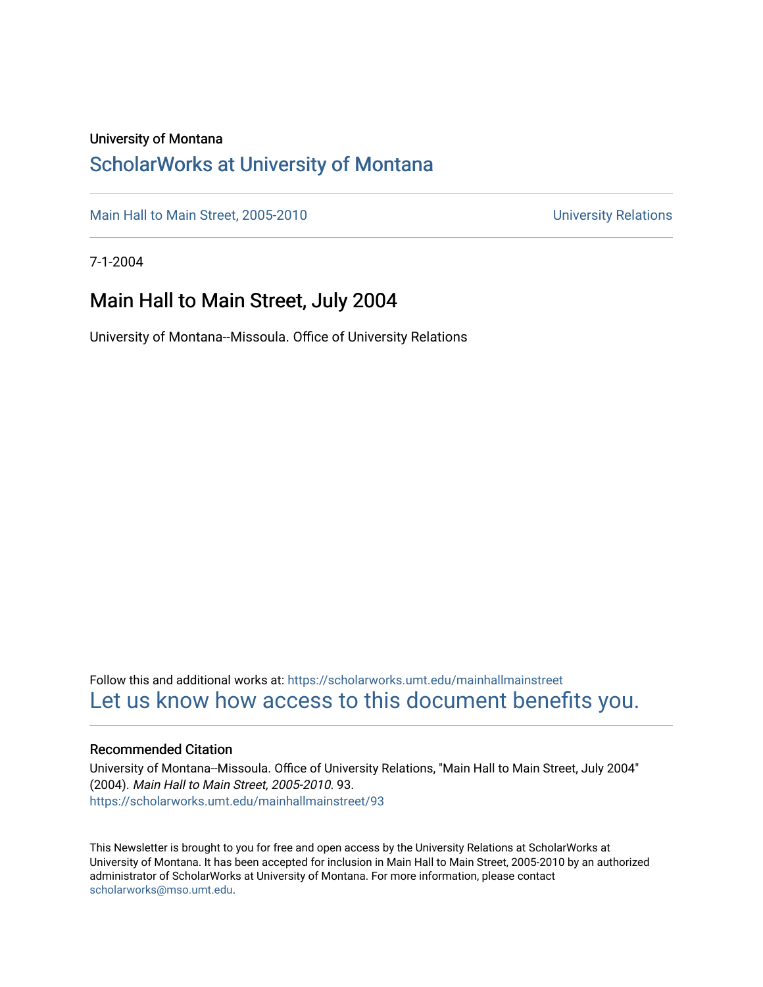#### University of Montana

#### [ScholarWorks at University of Montana](https://scholarworks.umt.edu/)

[Main Hall to Main Street, 2005-2010](https://scholarworks.umt.edu/mainhallmainstreet) Main Hall to Main Street, 2005-2010

7-1-2004

#### Main Hall to Main Street, July 2004

University of Montana--Missoula. Office of University Relations

Follow this and additional works at: [https://scholarworks.umt.edu/mainhallmainstreet](https://scholarworks.umt.edu/mainhallmainstreet?utm_source=scholarworks.umt.edu%2Fmainhallmainstreet%2F93&utm_medium=PDF&utm_campaign=PDFCoverPages) [Let us know how access to this document benefits you.](https://goo.gl/forms/s2rGfXOLzz71qgsB2) 

#### Recommended Citation

University of Montana--Missoula. Office of University Relations, "Main Hall to Main Street, July 2004" (2004). Main Hall to Main Street, 2005-2010. 93. [https://scholarworks.umt.edu/mainhallmainstreet/93](https://scholarworks.umt.edu/mainhallmainstreet/93?utm_source=scholarworks.umt.edu%2Fmainhallmainstreet%2F93&utm_medium=PDF&utm_campaign=PDFCoverPages) 

This Newsletter is brought to you for free and open access by the University Relations at ScholarWorks at University of Montana. It has been accepted for inclusion in Main Hall to Main Street, 2005-2010 by an authorized administrator of ScholarWorks at University of Montana. For more information, please contact [scholarworks@mso.umt.edu.](mailto:scholarworks@mso.umt.edu)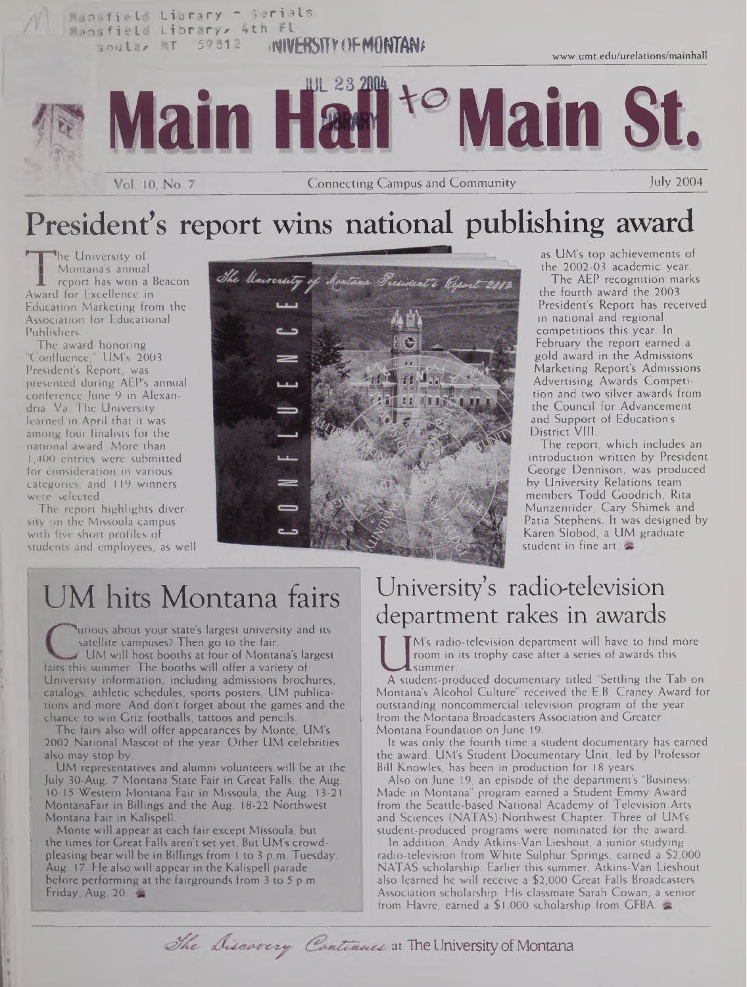

## President's report wins national publishing award

**he University of** Montana's annual report has won a Beacon Award for Excellence in Education Marketing from the Association for Educational Publishers.

The award honoring "Confluence," UM's 2003 President's Report, was presented during AEP's annual conference June 9 in Alexandria, Va The University learned in April that it was among four finalists for the national award. More than <sup>l</sup> ,400 entries were submitted for consideration in various categories, and 119 winners were selected.

The report highlights diversity on the Missoula campus with five short profiles of students and employees, as well



as UM's top achievements of the 2002-03 academic year.

The AEP recognition marks the fourth award the 2003 President's Report has received in national and regional competitions this year. In February the report earned a gold award in the Admissions Marketing Report's Admissions Advertising Awards Competition and two silver awards from the Council for Advancement and Support of Education's District VIII.

The report, which includes an introduction written by President George Dennison, was produced by University Relations team members Todd Goodrich, Rita Munzenrider, Cary Shimek and Patia Stephens. It was designed by Karen Slobod, a UM graduate student in fine art.

## UM hits Montana fairs

I urious about your state's largest university and its satellite campuses? Then go to the fair. UM will host booths at four of Montana's largest fairs this summer. The booths will offer a variety of University information, including admissions brochures, catalogs, athletic schedules, sports posters, UM publications and more. And don't forget about the games and the chance to win Griz footballs, tattoos and pencils.

The fairs also will offer appearances by Monte, UM's 2002 National Mascot of the year. Other UM celebrities also may stop by.

UM representatives and alumni volunteers will be at the July 30-Aug. 7 Montana State Fair in Great Falls, the Aug. 10-15 Western Montana Fair in Missoula, the Aug. 13-21 MontanaFair in Billings and the Aug. 18-22 Northwest Montana Fair in Kalispell.

Monte will appear at each fair except Missoula, but the times for Great Falls aren't set yet. But UM's crowdpleasing bear will be in Billings from <sup>1</sup> to 3 p.m. Tuesday, Aug. 17. He also will appear in the Kalispell parade before performing at the fairgrounds from <sup>3</sup> to 5 p.m. Friday, Aug. 20.

### University's radio-television department rakes in awards

I from in its trophy case after a series of awards this<br>A student-produced documentary titled "Settling the Tab on<br>Montana's Alcohol Gulture" received the E.B. Craney Award for M's radio-television department will have to find more room in its trophy case after a series of awards this summer.

Montana's Alcohol Culture" received the E.B. Craney Award for outstanding noncommercial television program of the year from the Montana Broadcasters Association and Greater Montana Foundation on June 19.

It was only the fourth time a student documentary has earned the award. UM's Student Documentary Unit, led by Professor Bill Knowles, has been in production for 18 years.

Also on June 19, an episode of the department's "Business: Made in Montana" program earned a Student Emmy Award from the Seattle-based National Academy of Television Arts and Sciences (NATAS)-Northwest Chapter. Three of UM's student-produced programs were nominated for the award.

In addition, Andy Atkins-Van Lieshout, a junior studying radio-television from White Sulphur Springs, earned a \$2,000 NATAS scholarship. Earlier this summer, Atkins-Van Lieshout also learned he will receive a \$2,000 Great Falls Broadcasters Association scholarship. His classmate Sarah Cowan, a senior from Havre, earned a \$1,000 scholarship from GFBA.

The Discavery Continues at The University of Montana